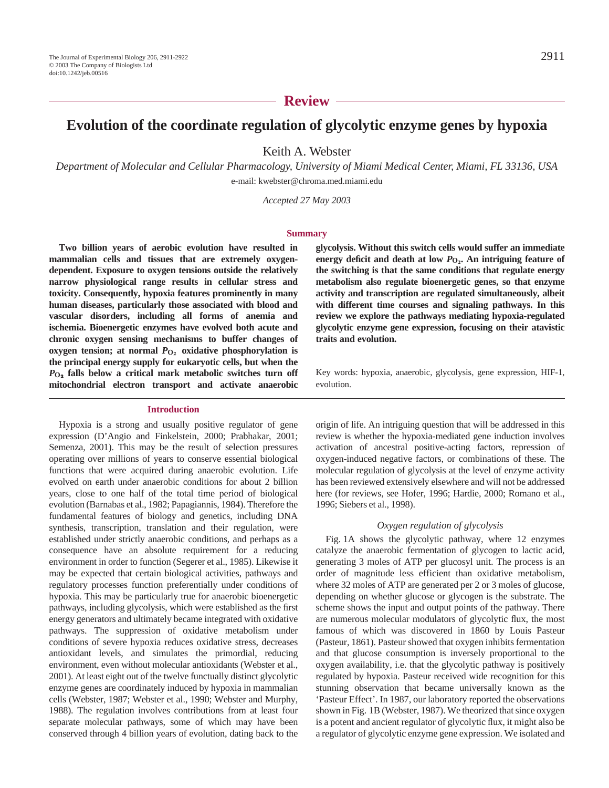## **Review**

# **Evolution of the coordinate regulation of glycolytic enzyme genes by hypoxia**

Keith A. Webster

*Department of Molecular and Cellular Pharmacology, University of Miami Medical Center, Miami, FL 33136, USA* e-mail: kwebster@chroma.med.miami.edu

*Accepted 27 May 2003*

#### **Summary**

**Two billion years of aerobic evolution have resulted in mammalian cells and tissues that are extremely oxygendependent. Exposure to oxygen tensions outside the relatively narrow physiological range results in cellular stress and toxicity. Consequently, hypoxia features prominently in many human diseases, particularly those associated with blood and vascular disorders, including all forms of anemia and ischemia. Bioenergetic enzymes have evolved both acute and chronic oxygen sensing mechanisms to buffer changes of oxygen tension;** at normal  $P_{\text{O}_2}$  **oxidative phosphorylation is the principal energy supply for eukaryotic cells, but when the**  $P_{O_2}$  falls below a critical mark metabolic switches turn off **mitochondrial electron transport and activate anaerobic**

#### **Introduction**

Hypoxia is a strong and usually positive regulator of gene expression (D'Angio and Finkelstein, 2000; Prabhakar, 2001; Semenza, 2001). This may be the result of selection pressures operating over millions of years to conserve essential biological functions that were acquired during anaerobic evolution. Life evolved on earth under anaerobic conditions for about 2 billion years, close to one half of the total time period of biological evolution (Barnabas et al., 1982; Papagiannis, 1984). Therefore the fundamental features of biology and genetics, including DNA synthesis, transcription, translation and their regulation, were established under strictly anaerobic conditions, and perhaps as a consequence have an absolute requirement for a reducing environment in order to function (Segerer et al., 1985). Likewise it may be expected that certain biological activities, pathways and regulatory processes function preferentially under conditions of hypoxia. This may be particularly true for anaerobic bioenergetic pathways, including glycolysis, which were established as the first energy generators and ultimately became integrated with oxidative pathways. The suppression of oxidative metabolism under conditions of severe hypoxia reduces oxidative stress, decreases antioxidant levels, and simulates the primordial, reducing environment, even without molecular antioxidants (Webster et al., 2001). At least eight out of the twelve functually distinct glycolytic enzyme genes are coordinately induced by hypoxia in mammalian cells (Webster, 1987; Webster et al., 1990; Webster and Murphy, 1988). The regulation involves contributions from at least four separate molecular pathways, some of which may have been conserved through 4 billion years of evolution, dating back to the **glycolysis. Without this switch cells would suffer an immediate energy deficit and death at low** *P***O∑. An intriguing feature of the switching is that the same conditions that regulate energy metabolism also regulate bioenergetic genes, so that enzyme activity and transcription are regulated simultaneously, albeit with different time courses and signaling pathways. In this review we explore the pathways mediating hypoxia-regulated glycolytic enzyme gene expression, focusing on their atavistic traits and evolution.**

Key words: hypoxia, anaerobic, glycolysis, gene expression, HIF-1, evolution.

origin of life. An intriguing question that will be addressed in this review is whether the hypoxia-mediated gene induction involves activation of ancestral positive-acting factors, repression of oxygen-induced negative factors, or combinations of these. The molecular regulation of glycolysis at the level of enzyme activity has been reviewed extensively elsewhere and will not be addressed here (for reviews, see Hofer, 1996; Hardie, 2000; Romano et al., 1996; Siebers et al., 1998).

#### *Oxygen regulation of glycolysis*

Fig. 1A shows the glycolytic pathway, where 12 enzymes catalyze the anaerobic fermentation of glycogen to lactic acid, generating 3 moles of ATP per glucosyl unit. The process is an order of magnitude less efficient than oxidative metabolism, where 32 moles of ATP are generated per 2 or 3 moles of glucose, depending on whether glucose or glycogen is the substrate. The scheme shows the input and output points of the pathway. There are numerous molecular modulators of glycolytic flux, the most famous of which was discovered in 1860 by Louis Pasteur (Pasteur, 1861). Pasteur showed that oxygen inhibits fermentation and that glucose consumption is inversely proportional to the oxygen availability, i.e. that the glycolytic pathway is positively regulated by hypoxia. Pasteur received wide recognition for this stunning observation that became universally known as the 'Pasteur Effect'. In 1987, our laboratory reported the observations shown in Fig. 1B (Webster, 1987). We theorized that since oxygen is a potent and ancient regulator of glycolytic flux, it might also be a regulator of glycolytic enzyme gene expression. We isolated and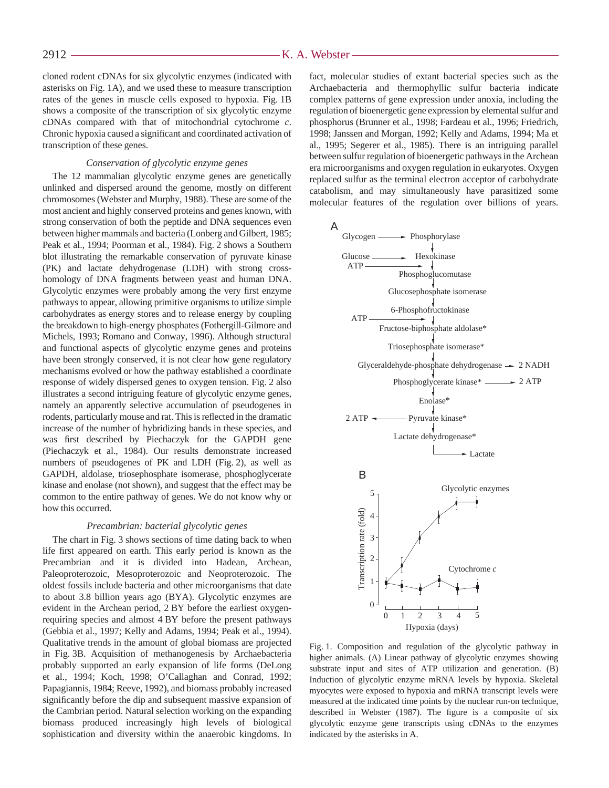cloned rodent cDNAs for six glycolytic enzymes (indicated with asterisks on Fig. 1A), and we used these to measure transcription rates of the genes in muscle cells exposed to hypoxia. Fig. 1B shows a composite of the transcription of six glycolytic enzyme cDNAs compared with that of mitochondrial cytochrome *c*. Chronic hypoxia caused a significant and coordinated activation of transcription of these genes.

## *Conservation of glycolytic enzyme genes*

The 12 mammalian glycolytic enzyme genes are genetically unlinked and dispersed around the genome, mostly on different chromosomes (Webster and Murphy, 1988). These are some of the most ancient and highly conserved proteins and genes known, with strong conservation of both the peptide and DNA sequences even between higher mammals and bacteria (Lonberg and Gilbert, 1985; Peak et al., 1994; Poorman et al., 1984). Fig. 2 shows a Southern blot illustrating the remarkable conservation of pyruvate kinase (PK) and lactate dehydrogenase (LDH) with strong crosshomology of DNA fragments between yeast and human DNA. Glycolytic enzymes were probably among the very first enzyme pathways to appear, allowing primitive organisms to utilize simple carbohydrates as energy stores and to release energy by coupling the breakdown to high-energy phosphates (Fothergill-Gilmore and Michels, 1993; Romano and Conway, 1996). Although structural and functional aspects of glycolytic enzyme genes and proteins have been strongly conserved, it is not clear how gene regulatory mechanisms evolved or how the pathway established a coordinate response of widely dispersed genes to oxygen tension. Fig. 2 also illustrates a second intriguing feature of glycolytic enzyme genes, namely an apparently selective accumulation of pseudogenes in rodents, particularly mouse and rat. This is reflected in the dramatic increase of the number of hybridizing bands in these species, and was first described by Piechaczyk for the GAPDH gene (Piechaczyk et al., 1984). Our results demonstrate increased numbers of pseudogenes of PK and LDH (Fig. 2), as well as GAPDH, aldolase, triosephosphate isomerase, phosphoglycerate kinase and enolase (not shown), and suggest that the effect may be common to the entire pathway of genes. We do not know why or how this occurred.

## *Precambrian: bacterial glycolytic genes*

The chart in Fig. 3 shows sections of time dating back to when life first appeared on earth. This early period is known as the Precambrian and it is divided into Hadean, Archean, Paleoproterozoic, Mesoproterozoic and Neoproterozoic. The oldest fossils include bacteria and other microorganisms that date to about 3.8 billion years ago (BYA). Glycolytic enzymes are evident in the Archean period, 2 BY before the earliest oxygenrequiring species and almost 4 BY before the present pathways (Gebbia et al., 1997; Kelly and Adams, 1994; Peak et al., 1994). Qualitative trends in the amount of global biomass are projected in Fig. 3B. Acquisition of methanogenesis by Archaebacteria probably supported an early expansion of life forms (DeLong et al., 1994; Koch, 1998; O'Callaghan and Conrad, 1992; Papagiannis, 1984; Reeve, 1992), and biomass probably increased significantly before the dip and subsequent massive expansion of the Cambrian period. Natural selection working on the expanding biomass produced increasingly high levels of biological sophistication and diversity within the anaerobic kingdoms. In

fact, molecular studies of extant bacterial species such as the Archaebacteria and thermophyllic sulfur bacteria indicate complex patterns of gene expression under anoxia, including the regulation of bioenergetic gene expression by elemental sulfur and phosphorus (Brunner et al., 1998; Fardeau et al., 1996; Friedrich, 1998; Janssen and Morgan, 1992; Kelly and Adams, 1994; Ma et al., 1995; Segerer et al., 1985). There is an intriguing parallel between sulfur regulation of bioenergetic pathways in the Archean era microorganisms and oxygen regulation in eukaryotes. Oxygen replaced sulfur as the terminal electron acceptor of carbohydrate catabolism, and may simultaneously have parasitized some molecular features of the regulation over billions of years.



Fig. 1. Composition and regulation of the glycolytic pathway in higher animals. (A) Linear pathway of glycolytic enzymes showing substrate input and sites of ATP utilization and generation. (B) Induction of glycolytic enzyme mRNA levels by hypoxia. Skeletal myocytes were exposed to hypoxia and mRNA transcript levels were measured at the indicated time points by the nuclear run-on technique, described in Webster (1987). The figure is a composite of six glycolytic enzyme gene transcripts using cDNAs to the enzymes indicated by the asterisks in A.

2912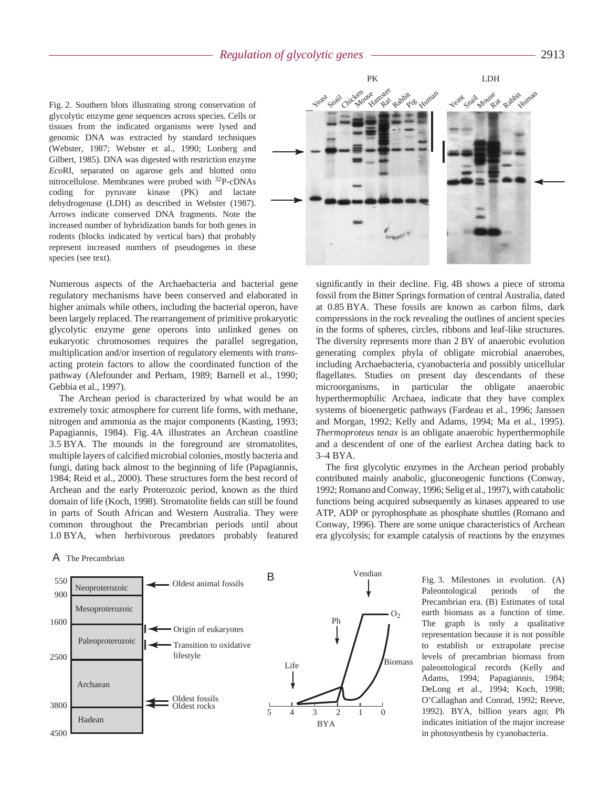## *Regulation of glycolytic genes* 2913

Fig. 2. Southern blots illustrating strong conservation of glycolytic enzyme gene sequences across species. Cells or tissues from the indicated organisms were lysed and genomic DNA was extracted by standard techniques (Webster, 1987; Webster et al., 1990; Lonberg and Gilbert, 1985). DNA was digested with restriction enzyme *Eco*RI, separated on agarose gels and blotted onto nitrocellulose. Membranes were probed with 32P-cDNAs coding for pyruvate kinase (PK) and lactate dehydrogenase (LDH) as described in Webster (1987). Arrows indicate conserved DNA fragments. Note the increased number of hybridization bands for both genes in rodents (blocks indicated by vertical bars) that probably represent increased numbers of pseudogenes in these species (see text).

Numerous aspects of the Archaebacteria and bacterial gene regulatory mechanisms have been conserved and elaborated in higher animals while others, including the bacterial operon, have been largely replaced. The rearrangement of primitive prokaryotic glycolytic enzyme gene operons into unlinked genes on eukaryotic chromosomes requires the parallel segregation, multiplication and/or insertion of regulatory elements with *trans*acting protein factors to allow the coordinated function of the pathway (Alefounder and Perham, 1989; Barnell et al., 1990; Gebbia et al., 1997).

The Archean period is characterized by what would be an extremely toxic atmosphere for current life forms, with methane, nitrogen and ammonia as the major components (Kasting, 1993; Papagiannis, 1984). Fig. 4A illustrates an Archean coastline 3.5 BYA. The mounds in the foreground are stromatolites, multiple layers of calcified microbial colonies, mostly bacteria and fungi, dating back almost to the beginning of life (Papagiannis, 1984; Reid et al., 2000). These structures form the best record of Archean and the early Proterozoic period, known as the third domain of life (Koch, 1998). Stromatolite fields can still be found in parts of South African and Western Australia. They were common throughout the Precambrian periods until about 1.0 BYA, when herbivorous predators probably featured

A The Precambrian



Fig. 3. Milestones in evolution. (A) Paleontological periods of the Precambrian era. (B) Estimates of total earth biomass as a function of time. The graph is only a qualitative representation because it is not possible to establish or extrapolate precise levels of precambrian biomass from paleontological records (Kelly and Adams, 1994; Papagiannis, 1984; DeLong et al., 1994; Koch, 1998; O'Callaghan and Conrad, 1992; Reeve, 1992). BYA, billion years ago; Ph indicates initiation of the major increase in photosynthesis by cyanobacteria.



significantly in their decline. Fig. 4B shows a piece of stroma fossil from the Bitter Springs formation of central Australia, dated at 0.85 BYA. These fossils are known as carbon films, dark compressions in the rock revealing the outlines of ancient species in the forms of spheres, circles, ribbons and leaf-like structures. The diversity represents more than 2 BY of anaerobic evolution generating complex phyla of obligate microbial anaerobes, including Archaebacteria, cyanobacteria and possibly unicellular flagellates. Studies on present day descendants of these microorganisms, in particular the obligate anaerobic hyperthermophilic Archaea, indicate that they have complex systems of bioenergetic pathways (Fardeau et al., 1996; Janssen and Morgan, 1992; Kelly and Adams, 1994; Ma et al., 1995). *Thermoproteus tenax* is an obligate anaerobic hyperthermophile and a descendent of one of the earliest Archea dating back to 3-4 BYA.

The first glycolytic enzymes in the Archean period probably contributed mainly anabolic, gluconeogenic functions (Conway, 1992; Romano and Conway, 1996; Selig et al., 1997), with catabolic functions being acquired subsequently as kinases appeared to use ATP, ADP or pyrophosphate as phosphate shuttles (Romano and Conway, 1996). There are some unique characteristics of Archean era glycolysis; for example catalysis of reactions by the enzymes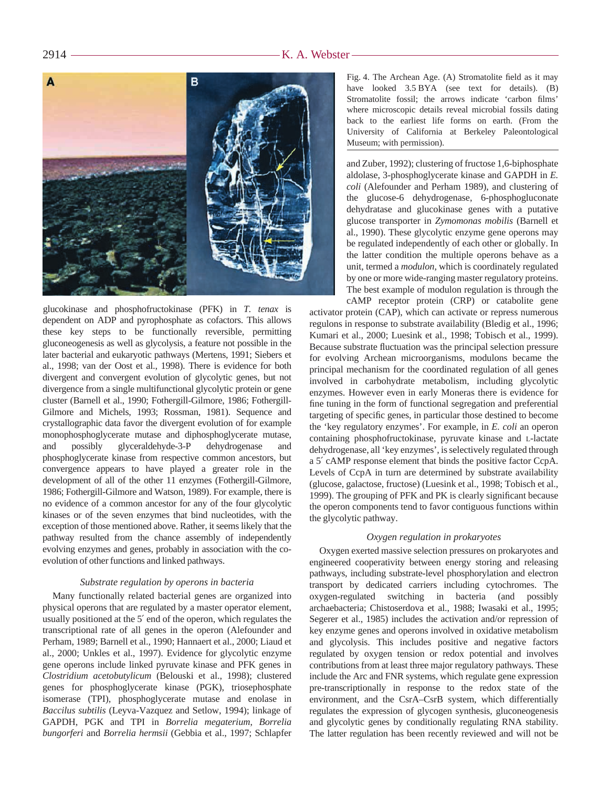

glucokinase and phosphofructokinase (PFK) in *T. tenax* is dependent on ADP and pyrophosphate as cofactors. This allows these key steps to be functionally reversible, permitting gluconeogenesis as well as glycolysis, a feature not possible in the later bacterial and eukaryotic pathways (Mertens, 1991; Siebers et al., 1998; van der Oost et al., 1998). There is evidence for both divergent and convergent evolution of glycolytic genes, but not divergence from a single multifunctional glycolytic protein or gene cluster (Barnell et al., 1990; Fothergill-Gilmore, 1986; Fothergill-Gilmore and Michels, 1993; Rossman, 1981). Sequence and crystallographic data favor the divergent evolution of for example monophosphoglycerate mutase and diphosphoglycerate mutase, and possibly glyceraldehyde-3-P dehydrogenase and phosphoglycerate kinase from respective common ancestors, but convergence appears to have played a greater role in the development of all of the other 11 enzymes (Fothergill-Gilmore, 1986; Fothergill-Gilmore and Watson, 1989). For example, there is no evidence of a common ancestor for any of the four glycolytic kinases or of the seven enzymes that bind nucleotides, with the exception of those mentioned above. Rather, it seems likely that the pathway resulted from the chance assembly of independently evolving enzymes and genes, probably in association with the coevolution of other functions and linked pathways.

### *Substrate regulation by operons in bacteria*

Many functionally related bacterial genes are organized into physical operons that are regulated by a master operator element, usually positioned at the 5′ end of the operon, which regulates the transcriptional rate of all genes in the operon (Alefounder and Perham, 1989; Barnell et al., 1990; Hannaert et al., 2000; Liaud et al., 2000; Unkles et al., 1997). Evidence for glycolytic enzyme gene operons include linked pyruvate kinase and PFK genes in *Clostridium acetobutylicum* (Belouski et al., 1998); clustered genes for phosphoglycerate kinase (PGK), triosephosphate isomerase (TPI), phosphoglycerate mutase and enolase in *Baccilus subtilis* (Leyva-Vazquez and Setlow, 1994); linkage of GAPDH, PGK and TPI in *Borrelia megaterium*, *Borrelia bungorferi* and *Borrelia hermsii* (Gebbia et al., 1997; Schlapfer Fig. 4. The Archean Age. (A) Stromatolite field as it may have looked 3.5 BYA (see text for details). (B) Stromatolite fossil; the arrows indicate 'carbon films' where microscopic details reveal microbial fossils dating back to the earliest life forms on earth. (From the University of California at Berkeley Paleontological Museum; with permission).

and Zuber, 1992); clustering of fructose 1,6-biphosphate aldolase, 3-phosphoglycerate kinase and GAPDH in *E. coli* (Alefounder and Perham 1989), and clustering of the glucose-6 dehydrogenase, 6-phosphogluconate dehydratase and glucokinase genes with a putative glucose transporter in *Zymomonas mobilis* (Barnell et al., 1990). These glycolytic enzyme gene operons may be regulated independently of each other or globally. In the latter condition the multiple operons behave as a unit, termed a *modulon*, which is coordinately regulated by one or more wide-ranging master regulatory proteins. The best example of modulon regulation is through the cAMP receptor protein (CRP) or catabolite gene

activator protein (CAP), which can activate or repress numerous regulons in response to substrate availability (Bledig et al., 1996; Kumari et al., 2000; Luesink et al., 1998; Tobisch et al., 1999). Because substrate fluctuation was the principal selection pressure for evolving Archean microorganisms, modulons became the principal mechanism for the coordinated regulation of all genes involved in carbohydrate metabolism, including glycolytic enzymes. However even in early Moneras there is evidence for fine tuning in the form of functional segregation and preferential targeting of specific genes, in particular those destined to become the 'key regulatory enzymes'. For example, in *E. coli* an operon containing phosphofructokinase, pyruvate kinase and L-lactate dehydrogenase, all 'key enzymes', is selectively regulated through a 5′ cAMP response element that binds the positive factor CcpA. Levels of CcpA in turn are determined by substrate availability (glucose, galactose, fructose) (Luesink et al., 1998; Tobisch et al., 1999). The grouping of PFK and PK is clearly significant because the operon components tend to favor contiguous functions within the glycolytic pathway.

#### *Oxygen regulation in prokaryotes*

Oxygen exerted massive selection pressures on prokaryotes and engineered cooperativity between energy storing and releasing pathways, including substrate-level phosphorylation and electron transport by dedicated carriers including cytochromes. The oxygen-regulated switching in bacteria (and possibly archaebacteria; Chistoserdova et al., 1988; Iwasaki et al., 1995; Segerer et al., 1985) includes the activation and/or repression of key enzyme genes and operons involved in oxidative metabolism and glycolysis. This includes positive and negative factors regulated by oxygen tension or redox potential and involves contributions from at least three major regulatory pathways. These include the Arc and FNR systems, which regulate gene expression pre-transcriptionally in response to the redox state of the environment, and the CsrA–CsrB system, which differentially regulates the expression of glycogen synthesis, gluconeogenesis and glycolytic genes by conditionally regulating RNA stability. The latter regulation has been recently reviewed and will not be

 $2914 -$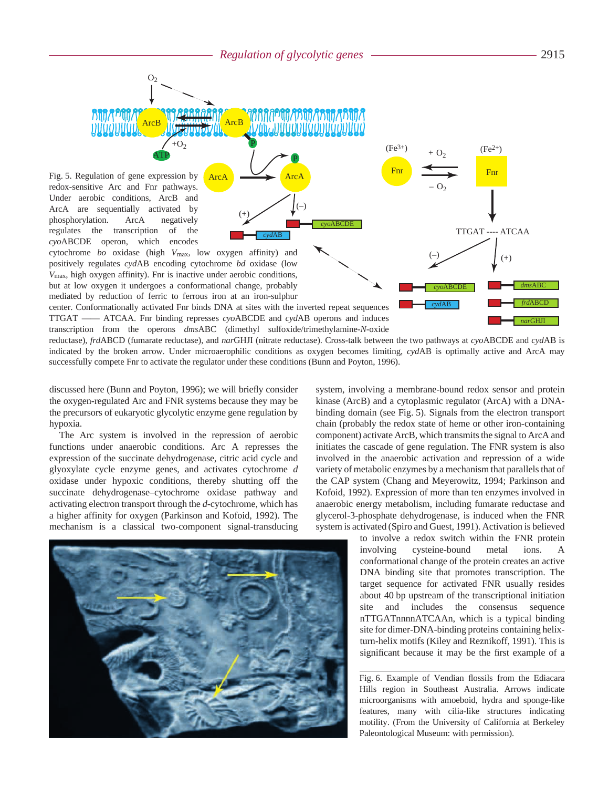P

**MARITA ALIANDE** 

(–)

*cyd*AB

*cyo*ABCDE

 $+O_2$ 

ATP

 $O<sub>2</sub>$ 

Fig. 5. Regulation of gene expression by redox-sensitive Arc and Fnr pathways. Under aerobic conditions, ArcB and ArcA are sequentially activated by phosphorylation. ArcA negatively regulates the transcription of the *cyo*ABCDE operon, which encodes

cytochrome *bo* oxidase (high *V*max, low oxygen affinity) and positively regulates *cyd*AB encoding cytochrome *bd* oxidase (low *V*max, high oxygen affinity). Fnr is inactive under aerobic conditions, but at low oxygen it undergoes a conformational change, probably mediated by reduction of ferric to ferrous iron at an iron-sulphur

center. Conformationally activated Fnr binds DNA at sites with the inverted repeat sequences TTGAT —— ATCAA. Fnr binding represses *cyo*ABCDE and *cyd*AB operons and induces transcription from the operons *dms*ABC (dimethyl sulfoxide/trimethylamine-*N*-oxide

Arc<sub>B</sub>

**ArcA** 

P

(+)

reductase), *frd*ABCD (fumarate reductase), and *nar*GHJI (nitrate reductase). Cross-talk between the two pathways at *cyo*ABCDE and *cyd*AB is indicated by the broken arrow. Under microaerophilic conditions as oxygen becomes limiting, *cyd*AB is optimally active and ArcA may successfully compete Fnr to activate the regulator under these conditions (Bunn and Poyton, 1996).

discussed here (Bunn and Poyton, 1996); we will briefly consider the oxygen-regulated Arc and FNR systems because they may be the precursors of eukaryotic glycolytic enzyme gene regulation by hypoxia.

The Arc system is involved in the repression of aerobic functions under anaerobic conditions. Arc A represses the expression of the succinate dehydrogenase, citric acid cycle and glyoxylate cycle enzyme genes, and activates cytochrome *d* oxidase under hypoxic conditions, thereby shutting off the succinate dehydrogenase–cytochrome oxidase pathway and activating electron transport through the *d*-cytochrome, which has a higher affinity for oxygen (Parkinson and Kofoid, 1992). The mechanism is a classical two-component signal-transducing



system, involving a membrane-bound redox sensor and protein kinase (ArcB) and a cytoplasmic regulator (ArcA) with a DNAbinding domain (see Fig. 5). Signals from the electron transport chain (probably the redox state of heme or other iron-containing component) activate ArcB, which transmits the signal to ArcA and initiates the cascade of gene regulation. The FNR system is also involved in the anaerobic activation and repression of a wide variety of metabolic enzymes by a mechanism that parallels that of the CAP system (Chang and Meyerowitz, 1994; Parkinson and Kofoid, 1992). Expression of more than ten enzymes involved in anaerobic energy metabolism, including fumarate reductase and glycerol-3-phosphate dehydrogenase, is induced when the FNR system is activated (Spiro and Guest, 1991). Activation is believed

Fnr **F**nr  $+$  O<sub>2</sub>

> *cyo*ABCDE *cyd*AB

 $(+)$   $(+)$ 

 $(Fe<sup>2+</sup>)$ 

TTGAT ---- ATCAA

*dms*ABC *frd*ABCD *nar*GHJI

 $-$  O<sub>2</sub>

 $(Fe^{3+})$ 

to involve a redox switch within the FNR protein involving cysteine-bound metal ions. A conformational change of the protein creates an active DNA binding site that promotes transcription. The target sequence for activated FNR usually resides about 40 bp upstream of the transcriptional initiation site and includes the consensus sequence nTTGATnnnnATCAAn, which is a typical binding site for dimer-DNA-binding proteins containing helixturn-helix motifs (Kiley and Reznikoff, 1991). This is significant because it may be the first example of a

Fig. 6. Example of Vendian flossils from the Ediacara Hills region in Southeast Australia. Arrows indicate microorganisms with amoeboid, hydra and sponge-like features, many with cilia-like structures indicating motility. (From the University of California at Berkeley Paleontological Museum: with permission).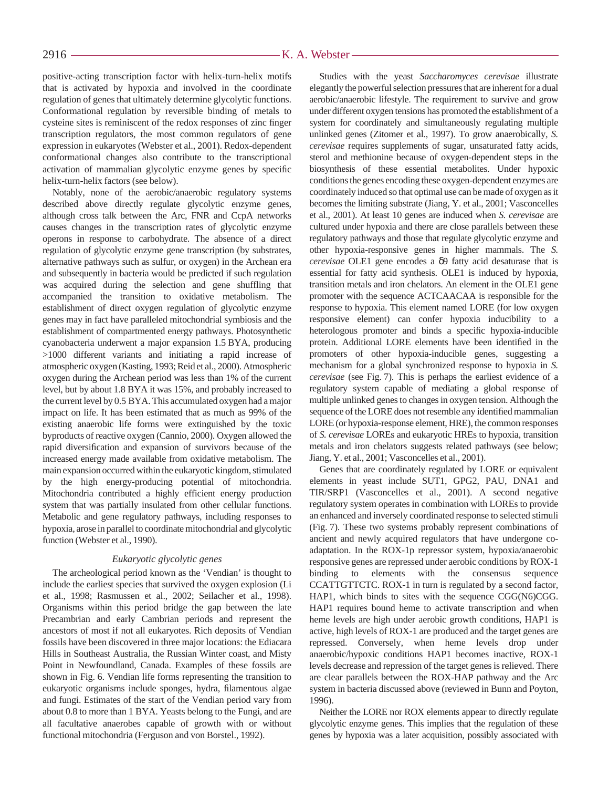positive-acting transcription factor with helix-turn-helix motifs that is activated by hypoxia and involved in the coordinate regulation of genes that ultimately determine glycolytic functions. Conformational regulation by reversible binding of metals to cysteine sites is reminiscent of the redox responses of zinc finger transcription regulators, the most common regulators of gene expression in eukaryotes (Webster et al., 2001). Redox-dependent conformational changes also contribute to the transcriptional activation of mammalian glycolytic enzyme genes by specific helix-turn-helix factors (see below).

Notably, none of the aerobic/anaerobic regulatory systems described above directly regulate glycolytic enzyme genes, although cross talk between the Arc, FNR and CcpA networks causes changes in the transcription rates of glycolytic enzyme operons in response to carbohydrate. The absence of a direct regulation of glycolytic enzyme gene transcription (by substrates, alternative pathways such as sulfur, or oxygen) in the Archean era and subsequently in bacteria would be predicted if such regulation was acquired during the selection and gene shuffling that accompanied the transition to oxidative metabolism. The establishment of direct oxygen regulation of glycolytic enzyme genes may in fact have paralleled mitochondrial symbiosis and the establishment of compartmented energy pathways. Photosynthetic cyanobacteria underwent a major expansion 1.5 BYA, producing >1000 different variants and initiating a rapid increase of atmospheric oxygen (Kasting, 1993; Reid et al., 2000). Atmospheric oxygen during the Archean period was less than 1% of the current level, but by about 1.8 BYA it was 15%, and probably increased to the current level by 0.5 BYA. This accumulated oxygen had a major impact on life. It has been estimated that as much as 99% of the existing anaerobic life forms were extinguished by the toxic byproducts of reactive oxygen (Cannio, 2000). Oxygen allowed the rapid diversification and expansion of survivors because of the increased energy made available from oxidative metabolism. The main expansion occurred within the eukaryotic kingdom, stimulated by the high energy-producing potential of mitochondria. Mitochondria contributed a highly efficient energy production system that was partially insulated from other cellular functions. Metabolic and gene regulatory pathways, including responses to hypoxia, arose in parallel to coordinate mitochondrial and glycolytic function (Webster et al., 1990).

## *Eukaryotic glycolytic genes*

The archeological period known as the 'Vendian' is thought to include the earliest species that survived the oxygen explosion (Li et al., 1998; Rasmussen et al., 2002; Seilacher et al., 1998). Organisms within this period bridge the gap between the late Precambrian and early Cambrian periods and represent the ancestors of most if not all eukaryotes. Rich deposits of Vendian fossils have been discovered in three major locations: the Ediacara Hills in Southeast Australia, the Russian Winter coast, and Misty Point in Newfoundland, Canada. Examples of these fossils are shown in Fig. 6. Vendian life forms representing the transition to eukaryotic organisms include sponges, hydra, filamentous algae and fungi. Estimates of the start of the Vendian period vary from about 0.8 to more than 1 BYA. Yeasts belong to the Fungi, and are all facultative anaerobes capable of growth with or without functional mitochondria (Ferguson and von Borstel., 1992).

Studies with the yeast *Saccharomyces cerevisae* illustrate elegantly the powerful selection pressures that are inherent for a dual aerobic/anaerobic lifestyle. The requirement to survive and grow under different oxygen tensions has promoted the establishment of a system for coordinately and simultaneously regulating multiple unlinked genes (Zitomer et al., 1997). To grow anaerobically, *S. cerevisae* requires supplements of sugar, unsaturated fatty acids, sterol and methionine because of oxygen-dependent steps in the biosynthesis of these essential metabolites. Under hypoxic conditions the genes encoding these oxygen-dependent enzymes are coordinately induced so that optimal use can be made of oxygen as it becomes the limiting substrate (Jiang, Y. et al., 2001; Vasconcelles et al., 2001). At least 10 genes are induced when *S. cerevisae* are cultured under hypoxia and there are close parallels between these regulatory pathways and those that regulate glycolytic enzyme and other hypoxia-responsive genes in higher mammals. The *S. cerevisae* OLE1 gene encodes a δ9 fatty acid desaturase that is essential for fatty acid synthesis. OLE1 is induced by hypoxia, transition metals and iron chelators. An element in the OLE1 gene promoter with the sequence ACTCAACAA is responsible for the response to hypoxia. This element named LORE (for low oxygen responsive element) can confer hypoxia inducibility to a heterologous promoter and binds a specific hypoxia-inducible protein. Additional LORE elements have been identified in the promoters of other hypoxia-inducible genes, suggesting a mechanism for a global synchronized response to hypoxia in *S. cerevisae* (see Fig. 7). This is perhaps the earliest evidence of a regulatory system capable of mediating a global response of multiple unlinked genes to changes in oxygen tension. Although the sequence of the LORE does not resemble any identified mammalian LORE (or hypoxia-response element, HRE), the common responses of *S. cerevisae* LOREs and eukaryotic HREs to hypoxia, transition metals and iron chelators suggests related pathways (see below; Jiang, Y. et al., 2001; Vasconcelles et al., 2001).

Genes that are coordinately regulated by LORE or equivalent elements in yeast include SUT1, GPG2, PAU, DNA1 and TIR/SRP1 (Vasconcelles et al., 2001). A second negative regulatory system operates in combination with LOREs to provide an enhanced and inversely coordinated response to selected stimuli (Fig. 7). These two systems probably represent combinations of ancient and newly acquired regulators that have undergone coadaptation. In the ROX-1p repressor system, hypoxia/anaerobic responsive genes are repressed under aerobic conditions by ROX-1 binding to elements with the consensus sequence CCATTGTTCTC. ROX-1 in turn is regulated by a second factor, HAP1, which binds to sites with the sequence CGG(N6)CGG. HAP1 requires bound heme to activate transcription and when heme levels are high under aerobic growth conditions, HAP1 is active, high levels of ROX-1 are produced and the target genes are repressed. Conversely, when heme levels drop under anaerobic/hypoxic conditions HAP1 becomes inactive, ROX-1 levels decrease and repression of the target genes is relieved. There are clear parallels between the ROX-HAP pathway and the Arc system in bacteria discussed above (reviewed in Bunn and Poyton, 1996).

Neither the LORE nor ROX elements appear to directly regulate glycolytic enzyme genes. This implies that the regulation of these genes by hypoxia was a later acquisition, possibly associated with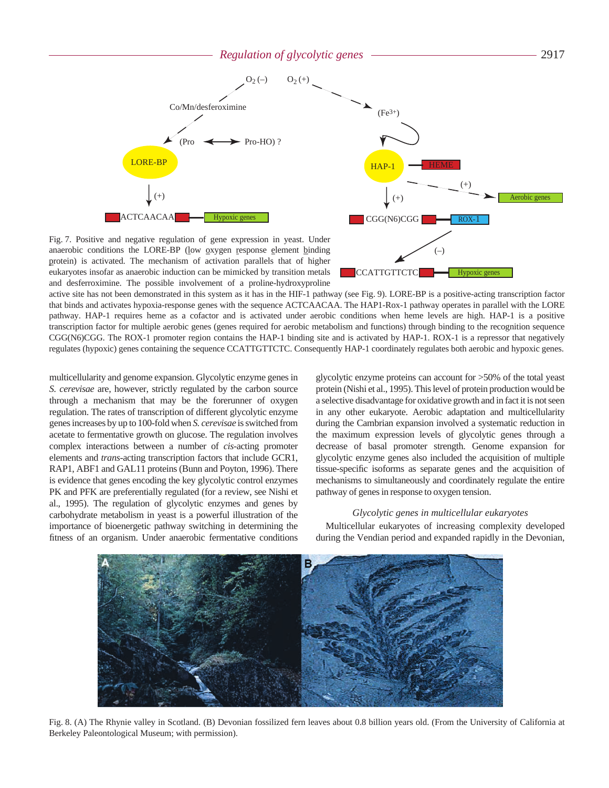*Regulation of glycolytic genes* 2917





Fig. 7. Positive and negative regulation of gene expression in yeast. Under anaerobic conditions the LORE-BP (low oxygen response element binding protein) is activated. The mechanism of activation parallels that of higher eukaryotes insofar as anaerobic induction can be mimicked by transition metals and desferroximine. The possible involvement of a proline-hydroxyproline

active site has not been demonstrated in this system as it has in the HIF-1 pathway (see Fig. 9). LORE-BP is a positive-acting transcription factor that binds and activates hypoxia-response genes with the sequence ACTCAACAA. The HAP1-Rox-1 pathway operates in parallel with the LORE pathway. HAP-1 requires heme as a cofactor and is activated under aerobic conditions when heme levels are high. HAP-1 is a positive transcription factor for multiple aerobic genes (genes required for aerobic metabolism and functions) through binding to the recognition sequence CGG(N6)CGG. The ROX-1 promoter region contains the HAP-1 binding site and is activated by HAP-1. ROX-1 is a repressor that negatively regulates (hypoxic) genes containing the sequence CCATTGTTCTC. Consequently HAP-1 coordinately regulates both aerobic and hypoxic genes.

multicellularity and genome expansion. Glycolytic enzyme genes in *S. cerevisae* are, however, strictly regulated by the carbon source through a mechanism that may be the forerunner of oxygen regulation. The rates of transcription of different glycolytic enzyme genes increases by up to 100-fold when *S. cerevisae* is switched from acetate to fermentative growth on glucose. The regulation involves complex interactions between a number of *cis*-acting promoter elements and *trans*-acting transcription factors that include GCR1, RAP1, ABF1 and GAL11 proteins (Bunn and Poyton, 1996). There is evidence that genes encoding the key glycolytic control enzymes PK and PFK are preferentially regulated (for a review, see Nishi et al., 1995). The regulation of glycolytic enzymes and genes by carbohydrate metabolism in yeast is a powerful illustration of the importance of bioenergetic pathway switching in determining the fitness of an organism. Under anaerobic fermentative conditions glycolytic enzyme proteins can account for >50% of the total yeast protein (Nishi et al., 1995). This level of protein production would be a selective disadvantage for oxidative growth and in fact it is not seen in any other eukaryote. Aerobic adaptation and multicellularity during the Cambrian expansion involved a systematic reduction in the maximum expression levels of glycolytic genes through a decrease of basal promoter strength. Genome expansion for glycolytic enzyme genes also included the acquisition of multiple tissue-specific isoforms as separate genes and the acquisition of mechanisms to simultaneously and coordinately regulate the entire pathway of genes in response to oxygen tension.

#### *Glycolytic genes in multicellular eukaryotes*

Multicellular eukaryotes of increasing complexity developed during the Vendian period and expanded rapidly in the Devonian,



Fig. 8. (A) The Rhynie valley in Scotland. (B) Devonian fossilized fern leaves about 0.8 billion years old. (From the University of California at Berkeley Paleontological Museum; with permission).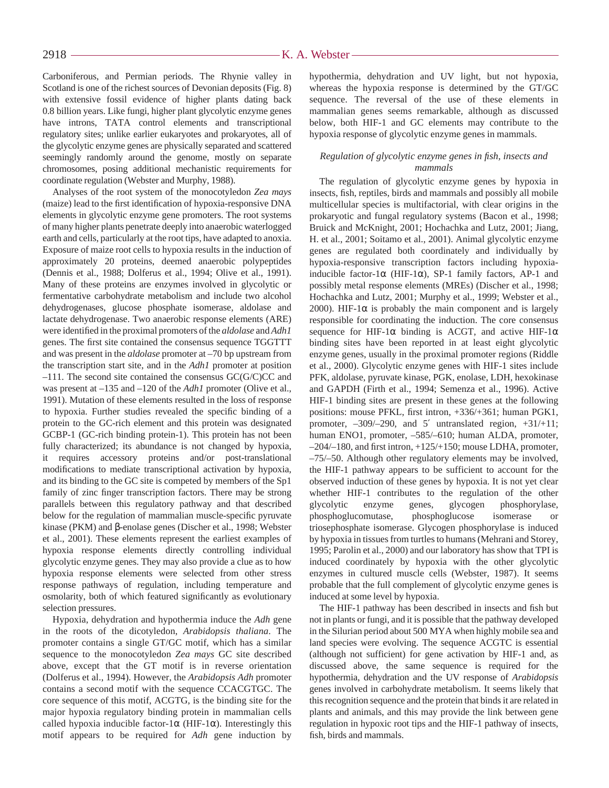## $-K. A.$  Webster-

Carboniferous, and Permian periods. The Rhynie valley in Scotland is one of the richest sources of Devonian deposits (Fig. 8) with extensive fossil evidence of higher plants dating back 0.8 billion years. Like fungi, higher plant glycolytic enzyme genes have introns, TATA control elements and transcriptional regulatory sites; unlike earlier eukaryotes and prokaryotes, all of the glycolytic enzyme genes are physically separated and scattered seemingly randomly around the genome, mostly on separate chromosomes, posing additional mechanistic requirements for coordinate regulation (Webster and Murphy, 1988).

Analyses of the root system of the monocotyledon *Zea mays* (maize) lead to the first identification of hypoxia-responsive DNA elements in glycolytic enzyme gene promoters. The root systems of many higher plants penetrate deeply into anaerobic waterlogged earth and cells, particularly at the root tips, have adapted to anoxia. Exposure of maize root cells to hypoxia results in the induction of approximately 20 proteins, deemed anaerobic polypeptides (Dennis et al., 1988; Dolferus et al., 1994; Olive et al., 1991). Many of these proteins are enzymes involved in glycolytic or fermentative carbohydrate metabolism and include two alcohol dehydrogenases, glucose phosphate isomerase, aldolase and lactate dehydrogenase. Two anaerobic response elements (ARE) were identified in the proximal promoters of the *aldolase* and *Adh1* genes. The first site contained the consensus sequence TGGTTT and was present in the *aldolase* promoter at -70 bp upstream from the transcription start site, and in the *Adh1* promoter at position –111. The second site contained the consensus GC(G/C)CC and was present at –135 and –120 of the *Adh1* promoter (Olive et al., 1991). Mutation of these elements resulted in the loss of response to hypoxia. Further studies revealed the specific binding of a protein to the GC-rich element and this protein was designated GCBP-1 (GC-rich binding protein-1). This protein has not been fully characterized; its abundance is not changed by hypoxia, it requires accessory proteins and/or post-translational modifications to mediate transcriptional activation by hypoxia, and its binding to the GC site is competed by members of the Sp1 family of zinc finger transcription factors. There may be strong parallels between this regulatory pathway and that described below for the regulation of mammalian muscle-specific pyruvate kinase (PKM) and β-enolase genes (Discher et al., 1998; Webster et al., 2001). These elements represent the earliest examples of hypoxia response elements directly controlling individual glycolytic enzyme genes. They may also provide a clue as to how hypoxia response elements were selected from other stress response pathways of regulation, including temperature and osmolarity, both of which featured significantly as evolutionary selection pressures.

Hypoxia, dehydration and hypothermia induce the *Adh* gene in the roots of the dicotyledon, *Arabidopsis thaliana*. The promoter contains a single GT/GC motif, which has a similar sequence to the monocotyledon *Zea mays* GC site described above, except that the GT motif is in reverse orientation (Dolferus et al., 1994). However, the *Arabidopsis Adh* promoter contains a second motif with the sequence CCACGTGC. The core sequence of this motif, ACGTG, is the binding site for the major hypoxia regulatory binding protein in mammalian cells called hypoxia inducible factor-1 $\alpha$  (HIF-1 $\alpha$ ). Interestingly this motif appears to be required for *Adh* gene induction by hypothermia, dehydration and UV light, but not hypoxia, whereas the hypoxia response is determined by the GT/GC sequence. The reversal of the use of these elements in mammalian genes seems remarkable, although as discussed below, both HIF-1 and GC elements may contribute to the hypoxia response of glycolytic enzyme genes in mammals.

## *Regulation of glycolytic enzyme genes in fish, insects and mammals*

The regulation of glycolytic enzyme genes by hypoxia in insects, fish, reptiles, birds and mammals and possibly all mobile multicellular species is multifactorial, with clear origins in the prokaryotic and fungal regulatory systems (Bacon et al., 1998; Bruick and McKnight, 2001; Hochachka and Lutz, 2001; Jiang, H. et al., 2001; Soitamo et al., 2001). Animal glycolytic enzyme genes are regulated both coordinately and individually by hypoxia-responsive transcription factors including hypoxiainducible factor-1 $\alpha$  (HIF-1 $\alpha$ ), SP-1 family factors, AP-1 and possibly metal response elements (MREs) (Discher et al., 1998; Hochachka and Lutz, 2001; Murphy et al., 1999; Webster et al., 2000). HIF-1 $\alpha$  is probably the main component and is largely responsible for coordinating the induction. The core consensus sequence for HIF-1 $\alpha$  binding is ACGT, and active HIF-1 $\alpha$ binding sites have been reported in at least eight glycolytic enzyme genes, usually in the proximal promoter regions (Riddle et al., 2000). Glycolytic enzyme genes with HIF-1 sites include PFK, aldolase, pyruvate kinase, PGK, enolase, LDH, hexokinase and GAPDH (Firth et al., 1994; Semenza et al., 1996). Active HIF-1 binding sites are present in these genes at the following positions: mouse PFKL, first intron, +336/+361; human PGK1, promoter, –309/–290, and 5′ untranslated region, +31/+11; human ENO1, promoter, –585/–610; human ALDA, promoter, –204/–180, and first intron, +125/+150; mouse LDHA, promoter, –75/–50. Although other regulatory elements may be involved, the HIF-1 pathway appears to be sufficient to account for the observed induction of these genes by hypoxia. It is not yet clear whether HIF-1 contributes to the regulation of the other glycolytic enzyme genes, glycogen phosphorylase, phosphoglucomutase, phosphoglucose isomerase or triosephosphate isomerase. Glycogen phosphorylase is induced by hypoxia in tissues from turtles to humans (Mehrani and Storey, 1995; Parolin et al., 2000) and our laboratory has show that TPI is induced coordinately by hypoxia with the other glycolytic enzymes in cultured muscle cells (Webster, 1987). It seems probable that the full complement of glycolytic enzyme genes is induced at some level by hypoxia.

The HIF-1 pathway has been described in insects and fish but not in plants or fungi, and it is possible that the pathway developed in the Silurian period about 500 MYA when highly mobile sea and land species were evolving. The sequence ACGTC is essential (although not sufficient) for gene activation by HIF-1 and, as discussed above, the same sequence is required for the hypothermia, dehydration and the UV response of *Arabidopsis* genes involved in carbohydrate metabolism. It seems likely that this recognition sequence and the protein that binds it are related in plants and animals, and this may provide the link between gene regulation in hypoxic root tips and the HIF-1 pathway of insects, fish, birds and mammals.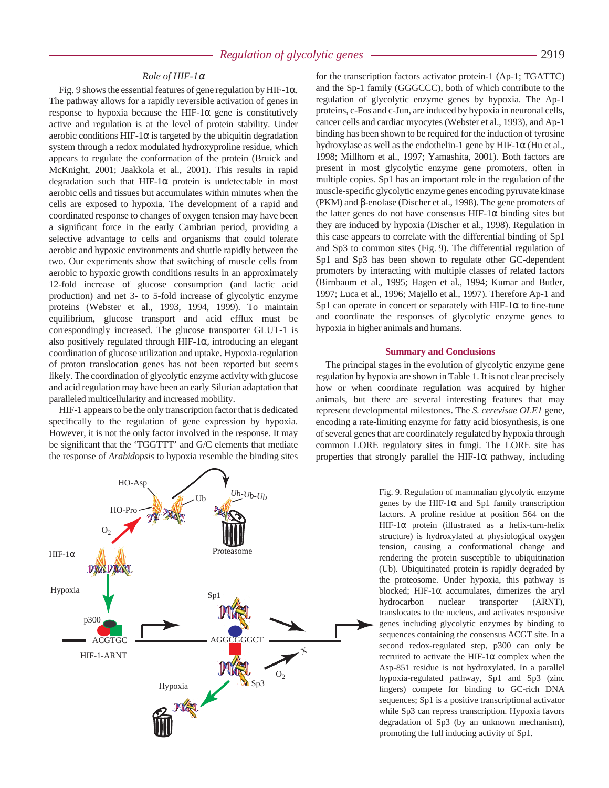## *Role of HIF-1*<sup>α</sup>

Fig. 9 shows the essential features of gene regulation by HIF-1 $\alpha$ . The pathway allows for a rapidly reversible activation of genes in response to hypoxia because the HIF-1 $\alpha$  gene is constitutively active and regulation is at the level of protein stability. Under aerobic conditions HIF-1 $\alpha$  is targeted by the ubiquitin degradation system through a redox modulated hydroxyproline residue, which appears to regulate the conformation of the protein (Bruick and McKnight, 2001; Jaakkola et al., 2001). This results in rapid degradation such that HIF-1 $\alpha$  protein is undetectable in most aerobic cells and tissues but accumulates within minutes when the cells are exposed to hypoxia. The development of a rapid and coordinated response to changes of oxygen tension may have been a significant force in the early Cambrian period, providing a selective advantage to cells and organisms that could tolerate aerobic and hypoxic environments and shuttle rapidly between the two. Our experiments show that switching of muscle cells from aerobic to hypoxic growth conditions results in an approximately 12-fold increase of glucose consumption (and lactic acid production) and net 3- to 5-fold increase of glycolytic enzyme proteins (Webster et al., 1993, 1994, 1999). To maintain equilibrium, glucose transport and acid efflux must be correspondingly increased. The glucose transporter GLUT-1 is also positively regulated through HIF-1 $\alpha$ , introducing an elegant coordination of glucose utilization and uptake. Hypoxia-regulation of proton translocation genes has not been reported but seems likely. The coordination of glycolytic enzyme activity with glucose and acid regulation may have been an early Silurian adaptation that paralleled multicellularity and increased mobility.

HIF-1 appears to be the only transcription factor that is dedicated specifically to the regulation of gene expression by hypoxia. However, it is not the only factor involved in the response. It may be significant that the 'TGGTTT' and G/C elements that mediate the response of *Arabidopsis* to hypoxia resemble the binding sites



#### **Summary and Conclusions**

The principal stages in the evolution of glycolytic enzyme gene regulation by hypoxia are shown in Table 1. It is not clear precisely how or when coordinate regulation was acquired by higher animals, but there are several interesting features that may represent developmental milestones. The *S. cerevisae OLE1* gene, encoding a rate-limiting enzyme for fatty acid biosynthesis, is one of several genes that are coordinately regulated by hypoxia through common LORE regulatory sites in fungi. The LORE site has properties that strongly parallel the HIF-1 $\alpha$  pathway, including



Fig. 9. Regulation of mammalian glycolytic enzyme genes by the HIF-1 $\alpha$  and Sp1 family transcription factors. A proline residue at position 564 on the HIF-1α protein (illustrated as a helix-turn-helix structure) is hydroxylated at physiological oxygen tension, causing a conformational change and rendering the protein susceptible to ubiquitination (Ub). Ubiquitinated protein is rapidly degraded by the proteosome. Under hypoxia, this pathway is blocked; HIF-1 $\alpha$  accumulates, dimerizes the aryl hydrocarbon nuclear transporter (ARNT), translocates to the nucleus, and activates responsive genes including glycolytic enzymes by binding to sequences containing the consensus ACGT site. In a second redox-regulated step, p300 can only be recruited to activate the HIF-1 $\alpha$  complex when the Asp-851 residue is not hydroxylated. In a parallel hypoxia-regulated pathway, Sp1 and Sp3 (zinc fingers) compete for binding to GC-rich DNA sequences; Sp1 is a positive transcriptional activator while Sp3 can repress transcription. Hypoxia favors degradation of Sp3 (by an unknown mechanism), promoting the full inducing activity of Sp1.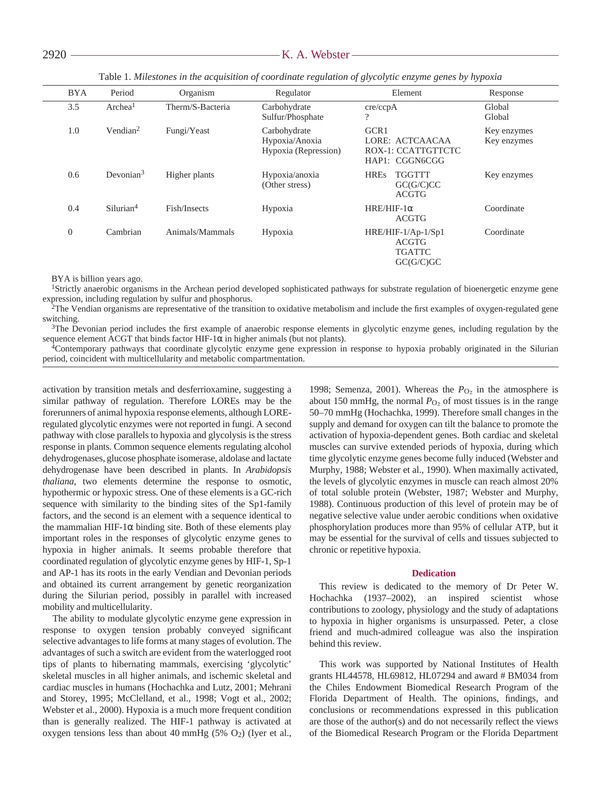| <b>BYA</b> | Period                | Organism         | Regulator                                              | Element                                                         | Response                   |
|------------|-----------------------|------------------|--------------------------------------------------------|-----------------------------------------------------------------|----------------------------|
| 3.5        | Archea <sup>1</sup>   | Therm/S-Bacteria | Carbohydrate<br>Sulfur/Phosphate                       | cre/ccpA<br>?                                                   | Global<br>Global           |
| 1.0        | Vendian <sup>2</sup>  | Fungi/Yeast      | Carbohydrate<br>Hypoxia/Anoxia<br>Hypoxia (Repression) | GCR1<br>LORE: ACTCAACAA<br>ROX-1: CCATTGTTCTC<br>HAP1: CGGN6CGG | Key enzymes<br>Key enzymes |
| 0.6        | Devonian $3$          | Higher plants    | Hypoxia/anoxia<br>(Other stress)                       | <b>HREs</b><br><b>TGGTTT</b><br>GC(G/C)CC<br><b>ACGTG</b>       | Key enzymes                |
| 0.4        | Silurian <sup>4</sup> | Fish/Insects     | Hypoxia                                                | $HRE/HIF-1\alpha$<br><b>ACGTG</b>                               | Coordinate                 |
| $\theta$   | Cambrian              | Animals/Mammals  | Hypoxia                                                | HRE/HIF-1/Ap-1/Sp1<br>ACGTG<br><b>TGATTC</b><br>GC(G/C)GC       | Coordinate                 |

Table 1. Milestones in the acquisition of coordinate regulation of glycolytic enzyme genes by hypoxia

BYA is billion years ago.

<sup>1</sup>Strictly anaerobic organisms in the Archean period developed sophisticated pathways for substrate regulation of bioenergetic enzyme gene expression, including regulation by sulfur and phosphorus.

2The Vendian organisms are representative of the transition to oxidative metabolism and include the first examples of oxygen-regulated gene switching.

<sup>3</sup>The Devonian period includes the first example of anaerobic response elements in glycolytic enzyme genes, including regulation by the sequence element ACGT that binds factor HIF-1 $\alpha$  in higher animals (but not plants).

4Contemporary pathways that coordinate glycolytic enzyme gene expression in response to hypoxia probably originated in the Silurian period, coincident with multicellularity and metabolic compartmentation.

activation by transition metals and desferrioxamine, suggesting a similar pathway of regulation. Therefore LOREs may be the forerunners of animal hypoxia response elements, although LOREregulated glycolytic enzymes were not reported in fungi. A second pathway with close parallels to hypoxia and glycolysis is the stress response in plants. Common sequence elements regulating alcohol dehydrogenases, glucose phosphate isomerase, aldolase and lactate dehydrogenase have been described in plants. In *Arabidopsis thaliana*, two elements determine the response to osmotic, hypothermic or hypoxic stress. One of these elements is a GC-rich sequence with similarity to the binding sites of the Sp1-family factors, and the second is an element with a sequence identical to the mammalian HIF-1 $\alpha$  binding site. Both of these elements play important roles in the responses of glycolytic enzyme genes to hypoxia in higher animals. It seems probable therefore that coordinated regulation of glycolytic enzyme genes by HIF-1, Sp-1 and AP-1 has its roots in the early Vendian and Devonian periods and obtained its current arrangement by genetic reorganization during the Silurian period, possibly in parallel with increased mobility and multicellularity.

The ability to modulate glycolytic enzyme gene expression in response to oxygen tension probably conveyed significant selective advantages to life forms at many stages of evolution. The advantages of such a switch are evident from the waterlogged root tips of plants to hibernating mammals, exercising 'glycolytic' skeletal muscles in all higher animals, and ischemic skeletal and cardiac muscles in humans (Hochachka and Lutz, 2001; Mehrani and Storey, 1995; McClelland, et al., 1998; Vogt et al., 2002; Webster et al., 2000). Hypoxia is a much more frequent condition than is generally realized. The HIF-1 pathway is activated at oxygen tensions less than about 40 mmHg (5%  $O_2$ ) (Iyer et al.,

1998; Semenza, 2001). Whereas the  $P_{\text{O}_2}$  in the atmosphere is about 150 mmHg, the normal  $P<sub>O<sub>2</sub></sub>$  of most tissues is in the range 50–70 mmHg (Hochachka, 1999). Therefore small changes in the supply and demand for oxygen can tilt the balance to promote the activation of hypoxia-dependent genes. Both cardiac and skeletal muscles can survive extended periods of hypoxia, during which time glycolytic enzyme genes become fully induced (Webster and Murphy, 1988; Webster et al., 1990). When maximally activated, the levels of glycolytic enzymes in muscle can reach almost 20% of total soluble protein (Webster, 1987; Webster and Murphy, 1988). Continuous production of this level of protein may be of negative selective value under aerobic conditions when oxidative phosphorylation produces more than 95% of cellular ATP, but it may be essential for the survival of cells and tissues subjected to chronic or repetitive hypoxia.

#### **Dedication**

This review is dedicated to the memory of Dr Peter W. Hochachka (1937–2002), an inspired scientist whose contributions to zoology, physiology and the study of adaptations to hypoxia in higher organisms is unsurpassed. Peter, a close friend and much-admired colleague was also the inspiration behind this review.

This work was supported by National Institutes of Health grants HL44578, HL69812, HL07294 and award # BM034 from the Chiles Endowment Biomedical Research Program of the Florida Department of Health. The opinions, findings, and conclusions or recommendations expressed in this publication are those of the author(s) and do not necessarily reflect the views of the Biomedical Research Program or the Florida Department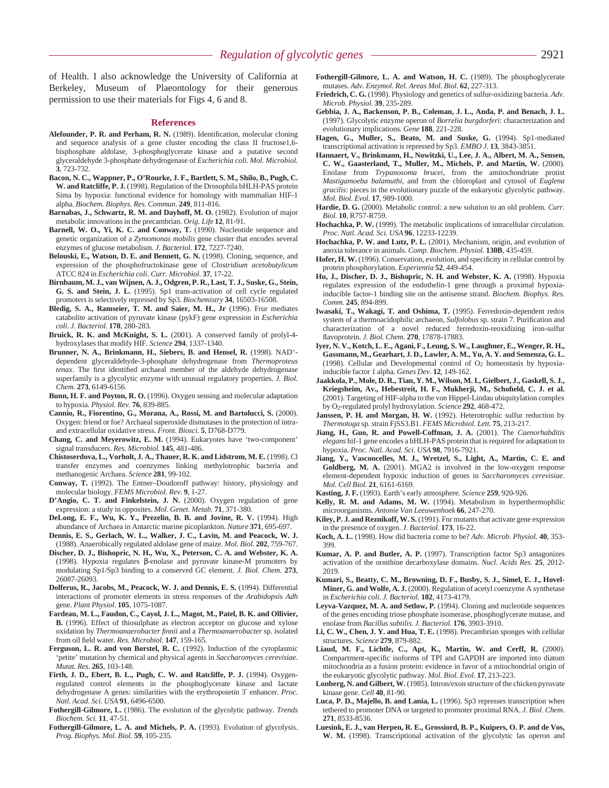of Health. I also acknowledge the University of California at Berkeley, Museum of Plaeontology for their generous permission to use their materials for Figs 4, 6 and 8.

#### **References**

- **Alefounder, P. R. and Perham, R. N.** (1989). Identification, molecular cloning and sequence analysis of a gene cluster encoding the class II fructose1,6 bisphosphate aldolase, 3-phosphoglycerate kinase and a putative second glyceraldehyde 3-phosphate dehydrogenase of *Escherichia coli*. *Mol. Microbiol.* **3**, 723-732.
- **Bacon, N. C., Wappner, P., O'Rourke, J. F., Bartlett, S. M., Shilo, B., Pugh, C. W. and Ratcliffe, P. J.** (1998). Regulation of the Drosophila bHLH-PAS protein Sima by hypoxia: functional evidence for homology with mammalian HIF-1 alpha. *Biochem. Biophys. Res. Commun*. **249**, 811-816.
- Barnabas, J., Schwartz, R. M. and Dayhoff, M. O. (1982). Evolution of major metabolic innovations in the precambrian. *Orig. Life* **12**, 81-91.
- **Barnell, W. O., Yi, K. C. and Conway, T.** (1990). Nucleotide sequence and genetic organization of a *Zymomonas mobilis* gene cluster that encodes several enzymes of glucose metabolism*. J. Bacteriol.* **172**, 7227-7240.
- **Belouski, E., Watson, D. E. and Bennett, G. N.** (1998). Cloning, sequence, and expression of the phosphofructokinase gene of *Clostridium acetobutylicum* ATCC 824 in *Escherichia coli*. *Curr. Microbiol*. **37**, 17-22.
- **Birnbaum, M. J., van Wijnen, A. J., Odgren, P. R., Last, T. J., Suske, G., Stein, G. S. and Stein, J. L.** (1995). Sp1 trans-activation of cell cycle regulated promoters is selectively repressed by Sp3. *Biochemistry* **34**, 16503-16508.
- **Bledig, S. A., Ramseier, T. M. and Saier, M. H., Jr** (1996). Frur mediates catabolite activation of pyruvate kinase (pykF) gene expression in *Escherichia coli*. *J. Bacteriol.* **178**, 280-283.
- **Bruick, R. K. and McKnight, S. L.** (2001). A conserved family of prolyl-4 hydroxylases that modify HIF*. Science* **294**, 1337-1340.
- **Brunner, N. A., Brinkmann, H., Siebers, B. and Hensel, R.** (1998). NAD+ dependent glyceraldehyde-3-phosphate dehydrogenase from *Thermoproteus tenax*. The first identified archaeal member of the aldehyde dehydrogenase superfamily is a glycolytic enzyme with unusual regulatory properties. *J. Biol. Chem.* **273**, 6149-6156.
- **Bunn, H. F. and Poyton, R. O.** (1996). Oxygen sensing and molecular adaptation to hypoxia. *Physiol. Rev.* **76**, 839-885.
- **Cannio, R., Fiorentino, G., Morana, A., Rossi, M. and Bartolucci, S.** (2000). Oxygen: friend or foe? Archaeal superoxide dismutases in the protection of intraand extracellular oxidative stress. *Front. Biosci.* **5**, D768-D779.
- **Chang, C. and Meyerowitz, E. M.** (1994). Eukaryotes have 'two-component' signal transducers. *Res. Microbiol.* **145**, 481-486.
- **Chistoserdova, L., Vorholt, J. A., Thauer, R. K. and Lidstrom, M. E.** (1998). Cl transfer enzymes and coenzymes linking methylotrophic bacteria and methanogenic Archaea. *Science* **281**, 99-102.
- **Conway, T.** (1992). The Entner–Doudoroff pathway: history, physiology and molecular biology. *FEMS Microbiol. Rev.* **9**, 1-27.
- **D'Angio, C. T. and Finkelstein, J. N.** (2000). Oxygen regulation of gene expression: a study in opposites. *Mol. Genet. Metab*. **71**, 371-380.
- **DeLong, E. F., Wu, K. Y., Prezelin, B. B. and Jovine, R. V.** (1994). High abundance of Archaea in Antarctic marine picoplankton. *Nature* **371**, 695-697.
- **Dennis, E. S., Gerlach, W. L., Walker, J. C., Lavin, M. and Peacock, W. J.** (1988). Anaerobically regulated aldolase gene of maize. *Mol. Biol*. **202**, 759-767.
- **Discher, D. J., Bishopric, N. H., Wu, X., Peterson, C. A. and Webster, K. A.** (1998). Hypoxia regulates β-enolase and pyruvate kinase-M promoters by modulating Sp1/Sp3 binding to a conserved GC element. *J. Biol. Chem*. **273**, 26087-26093.
- **Dolferus, R., Jacobs, M., Peacock, W. J. and Dennis, E. S.** (1994). Differential interactions of promoter elements in stress responses of the *Arabidopsis Adh* gene. *Plant Physiol*. **105**, 1075-1087.
- **Fardeau, M. L., Faudon, C., Cayol, J. L., Magot, M., Patel, B. K. and Ollivier, B.** (1996). Effect of thiosulphate as electron acceptor on glucose and xylose oxidation by *Thermoanaerobacter finnii* and a *Thermoanaerobacter* sp. isolated from oil field water. *Res. Microbiol.* **147**, 159-165.
- **Ferguson, L. R. and von Borstel, R. C.** (1992). Induction of the cytoplasmic 'petite' mutation by chemical and physical agents in *Saccharomyces cerevisiae*. *Mutat. Res*. **265**, 103-148.
- **Firth, J. D., Ebert, B. L., Pugh, C. W. and Ratcliffe, P. J.** (1994). Oxygenregulated control elements in the phosphoglycerate kinase and lactate dehydrogenase A genes: similarities with the erythropoietin 3′ enhancer. *Proc. Natl. Acad. Sci. USA* **91**, 6496-6500.
- **Fothergill-Gilmore, L.** (1986). The evolution of the glycolytic pathway. *Trends Biochem. Sci.* **11**, 47-51.
- **Fothergill-Gilmore, L. A. and Michels, P. A.** (1993). Evolution of glycolysis. *Prog. Biophys. Mol. Biol.* **59**, 105-235.
- **Fothergill-Gilmore, L. A. and Watson, H. C.** (1989). The phosphoglycerate mutases. *Adv. Enzymol. Rel. Areas Mol. Biol.* **62**, 227-313.
- **Friedrich, C. G.** (1998). Physiology and genetics of sulfur-oxidizing bacteria. *Adv. Microb. Physiol.* **39**, 235-289.
- **Gebbia, J. A., Backenson, P. B., Coleman, J. L., Anda, P. and Benach, J. L.** (1997). Glycolytic enzyme operon of *Borrelia burgdorferi*: characterization and evolutionary implications*. Gene* **188**, 221-228.
- **Hagen, G., Muller, S., Beato, M. and Suske, G.** (1994). Sp1-mediated transcriptional activation is repressed by Sp3*. EMBO J*. **13**, 3843-3851.
- **Hannaert, V., Brinkmann, H., Nowitzki, U., Lee, J. A., Albert, M. A., Sensen, C. W., Gaasterland, T., Muller, M., Michels, P. and Martin, W.** (2000). Enolase from *Trypanosoma brucei*, from the amitochondriate protist *Mastigamoeba balamuthi*, and from the chloroplast and cytosol of *Euglena gracilis*: pieces in the evolutionary puzzle of the eukaryotic glycolytic pathway. *Mol. Biol. Evol.* **17**, 989-1000.
- **Hardie, D. G.** (2000). Metabolic control: a new solution to an old problem. *Curr. Biol.* **10**, R757-R759.
- **Hochachka, P. W.** (1999). The metabolic implications of intracellular circulation. *Proc. Natl. Acad. Sci. USA* **96**, 12233-12239.
- **Hochachka, P. W. and Lutz, P. L.** (2001). Mechanism, origin, and evolution of anoxia tolerance in animals. *Comp. Biochem. Physiol.* **130B**, 435-459.
- **Hofer, H. W.** (1996). Conservation, evolution, and specificity in cellular control by protein phosphorylation. *Experientia* **52**, 449-454.
- **Hu, J., Discher, D. J., Bishopric, N. H. and Webster, K. A.** (1998). Hypoxia regulates expression of the endothelin-1 gene through a proximal hypoxiainducible factor-1 binding site on the antisense strand. *Biochem. Biophys. Res. Comm*. **245**, 894-899.
- **Iwasaki, T., Wakagi, T. and Oshima, T.** (1995). Ferredoxin-dependent redox system of a thermoacidophilic archaeon, *Sulfolobus* sp. strain 7. Purification and characterization of a novel reduced ferredoxin-reoxidizing iron-sulfur flavoprotein. *J. Biol. Chem.* **270**, 17878-17883.
- **Iyer, N. V., Kotch, L. E., Agani, F., Leung, S. W., Laughner, E., Wenger, R. H., Gassmann, M., Gearhart, J. D., Lawler, A. M., Yu, A. Y. and Semenza, G. L.** (1998). Cellular and Developmental control of  $O<sub>2</sub>$  homeostasis by hypoxiainducible factor 1 alpha. *Genes Dev.* **12**, 149-162.
- **Jaakkola, P., Mole, D. R., Tian, Y. M., Wilson, M. I., Gielbert, J., Gaskell, S. J., Kriegsheim, Av., Hebestreit, H. F., Mukherji, M., Schofield, C. J. et al.** (2001). Targeting of HIF-alpha to the von Hippel-Lindau ubiquitylation complex by O2-regulated prolyl hydroxylation. *Science* **292**, 468-472.
- **Janssen, P. H. and Morgan, H. W.** (1992). Heterotrophic sulfur reduction by *Thermotoga* sp. strain FjSS3.B1. *FEMS Microbiol. Lett.* **75**, 213-217.
- **Jiang, H., Guo, R. and Powell-Coffman, J. A.** (2001). The *Caenorhabditis elegans* hif-1 gene encodes a bHLH-PAS protein that is required for adaptation to hypoxia. *Proc. Natl. Acad. Sci. USA* **98**, 7916-7921.
- **Jiang, Y., Vasconcelles, M. J., Wretzel, S., Light, A., Martin, C. E. and Goldberg, M. A.** (2001). MGA2 is involved in the low-oxygen response element-dependent hypoxic induction of genes in *Saccharomyces cerevisiae*. *Mol. Cell Biol.* **21**, 6161-6169.
- **Kasting, J. F.** (1993). Earth's early atmosphere. *Science* **259**, 920-926.
- Kelly, R. M. and Adams, M. W. (1994). Metabolism in hyperthermophilic microorganisms. *Antonie Van Leeuwenhoek* **66**, 247-270.
- **Kiley, P. J. and Reznikoff, W. S.** (1991). Fnr mutants that activate gene expression in the presence of oxygen. *J. Bacteriol.* **173**, 16-22.
- **Koch, A. L.** (1998). How did bacteria come to be? *Adv. Microb. Physiol.* **40**, 353- 399.
- **Kumar, A. P. and Butler, A. P.** (1997). Transcription factor Sp3 antagonizes activation of the ornithine decarboxylase domains. *Nucl. Acids Res*. **25**, 2012- 2019.
- **Kumari, S., Beatty, C. M., Browning, D. F., Busby, S. J., Simel, E. J., Hovel-**Miner, G. and Wolfe, A. J. (2000). Regulation of acetyl coenzyme A synthetase in *Escherichia coli*. *J. Bacteriol.* **182**, 4173-4179.
- **Leyva-Vazquez, M. A. and Setlow, P.** (1994). Cloning and nucleotide sequences of the genes encoding triose phosphate isomerase, phosphoglycerate mutase, and enolase from *Bacillus subtilis. J. Bacteriol.* **176**, 3903-3910.
- **Li, C. W., Chen, J. Y. and Hua, T. E.** (1998). Precambrian sponges with cellular structures*. Science* **279**, 879-882.
- **Liaud, M. F., Lichtle, C., Apt, K., Martin, W. and Cerff, R.** (2000). Compartment-specific isoforms of TPI and GAPDH are imported into diatom mitochondria as a fusion protein: evidence in favor of a mitochondrial origin of the eukaryotic glycolytic pathway. *Mol. Biol. Evol.* **17**, 213-223.
- **Lonberg, N. and Gilbert, W.** (1985). Intron/exon structure of the chicken pyruvate kinase gene. *Cell* **40**, 81-90.
- **Luca, P. D., Majello, B. and Lania, L.** (1996). Sp3 represses transcription when tethered to promoter DNA or targeted to promoter proximal RNA. *J. Biol. Chem*. **271**, 8533-8536.
- **Luesink, E. J., van Herpen, R. E., Grossiord, B. P., Kuipers, O. P. and de Vos, W. M.** (1998). Transcriptional activation of the glycolytic las operon and